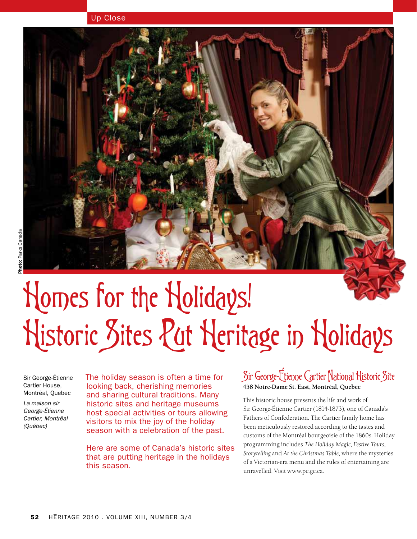#### Up Close



# Homes for the Holidays! Historic Sites Put Heritage in Holidays

Sir George-Étienne Cartier House, Montréal, Quebec

*La maison sir George-Étienne Cartier, Montréal (Québec)*

The holiday season is often a time for looking back, cherishing memories and sharing cultural traditions. Many historic sites and heritage museums host special activities or tours allowing visitors to mix the joy of the holiday season with a celebration of the past.

Here are some of Canada's historic sites that are putting heritage in the holidays this season.

## Sir George-Étienne Cartier National Historic Site **458 Notre-Dame St. East, Montréal, Quebec**

This historic house presents the life and work of Sir George-Étienne Cartier (1814-1873), one of Canada's Fathers of Confederation. The Cartier family home has been meticulously restored according to the tastes and customs of the Montréal bourgeoisie of the 1860s. Holiday programming includes *The Holiday Magic*, *Festive Tours*, *Storytelling* and *At the Christmas Table*, where the mysteries of a Victorian-era menu and the rules of entertaining are unravelled. Visit www.pc.gc.ca.